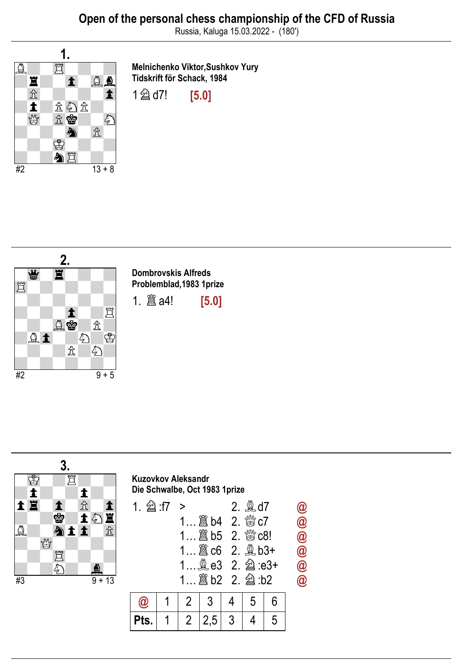

Melnichenko Viktor,Sushkov Yury Tidskrift för Schack, 1984

1 2 d7! [5.0]



Dombrovskis Alfreds Problemblad,1983 1prize

1. ♖a4! [5.0]

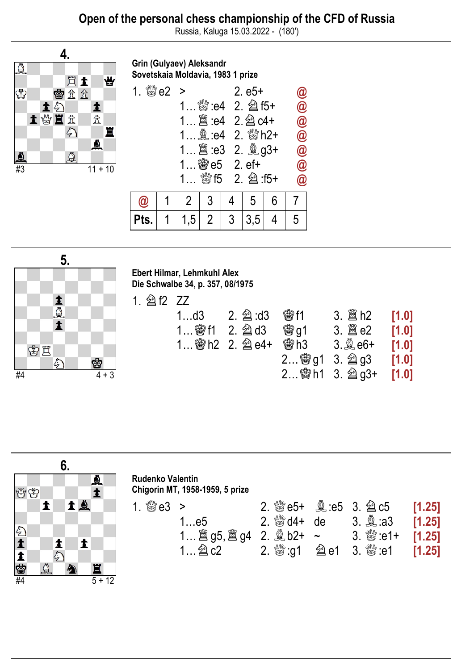

Grin (Gulyaev) Aleksandr Sovetskaia Moldavia, 1983 1 prize

| 1. $\frac{800}{200}$ e2 > |     |                           |                | $2. e5+$ |   | $\bm{\omega}$           |
|---------------------------|-----|---------------------------|----------------|----------|---|-------------------------|
|                           |     |                           |                |          |   | $\bm{\varpi}$           |
|                           |     |                           |                |          |   | $\circleda$             |
|                           |     |                           |                |          |   | $\bar{\bm{\theta}}$     |
|                           |     |                           |                |          |   | $\bar{\pmb{\theta}}$    |
|                           |     | 1 $\circledast$ e5 2. ef+ |                |          |   | $\widehat{\bm{\omega}}$ |
|                           |     |                           |                |          |   | $\bm{\varpi}$           |
| 'Qi                       |     | 3                         |                | 5        | 6 |                         |
|                           | 1,5 | $2\overline{ }$           | 3 <sup>1</sup> | 3,5      |   | 5                       |



Ebert Hilmar, Lehmkuhl Alex Die Schwalbe 34, p. 357, 08/1975

1. ♘f2 ZZ

| $1$ d $3$ | <b>魯f1</b> |                        | [1.0] |
|-----------|------------|------------------------|-------|
|           | <b>曾q1</b> |                        | [1.0] |
|           | 雷h3        | $3.\n$ $2.6+$ [1.0]    |       |
|           |            | $2$ ③ g1 3. 2 g3 [1.0] |       |
|           |            | 2 窗h1 3. 2g3+ [1.0]    |       |



| <b>Rudenko Valentin</b>         |
|---------------------------------|
| Chigorin MT, 1958-1959, 5 prize |

| 1. $\frac{d^{10}Q}{d^{10}Q^2}$ 2 |                                          |  | 2. $\%$ e5+ $\&$ e5 3. $\&$ c5 [1.25] |  |
|----------------------------------|------------------------------------------|--|---------------------------------------|--|
|                                  | 1e5 2. $\frac{800}{200}$ d4+ de          |  |                                       |  |
|                                  | 1 圖 g5, 圖 g4 2. 凰 b2+ ~ 3. 鬱 :e1+ [1.25] |  |                                       |  |
|                                  |                                          |  |                                       |  |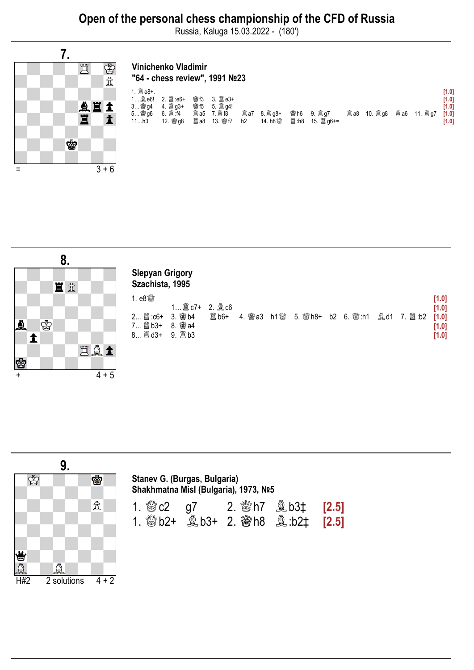

## Vinichenko Vladimir "64 - chess review", 1991 №23

|                |          |     |                    |                |                    |  |                    |  | [1.0] |
|----------------|----------|-----|--------------------|----------------|--------------------|--|--------------------|--|-------|
| 1 <b>y</b> e6! |          | 會f3 |                    |                |                    |  |                    |  | [1.0] |
| 3 窗 q4         |          |     |                    |                |                    |  |                    |  | [1.0] |
| 5 窗 q6         |          |     |                    |                | <b>置a7</b> 8. 置g8+ |  | <b>闔a8</b> 10. 闔q8 |  | [1.0] |
| 11h3           | 12. 窗 q8 |     | <b>置a8 13. 會f7</b> | h <sub>2</sub> |                    |  |                    |  | [1.0] |
|                |          |     |                    |                |                    |  |                    |  |       |
|                |          |     |                    |                |                    |  |                    |  |       |





| Stanev G. (Burgas, Bulgaria)         |  |
|--------------------------------------|--|
| Shakhmatna Misl (Bulgaria), 1973, №5 |  |